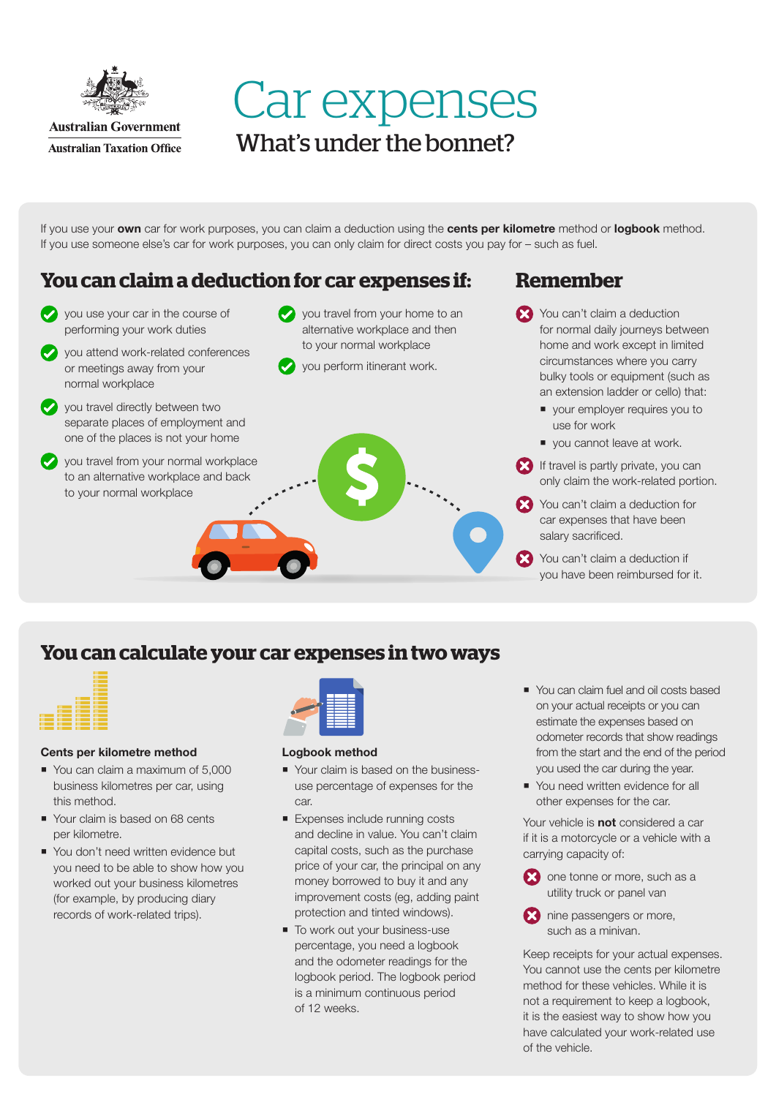

# Car expenses What's under the bonnet?

If you use your own car for work purposes, you can claim a deduction using the cents per kilometre method or logbook method. If you use someone else's car for work purposes, you can only claim for direct costs you pay for – such as fuel.

## **You can claim a deduction for car expenses if:**

- you use your car in the course of performing your work duties
- you attend work-related conferences or meetings away from your normal workplace
- you travel directly between two separate places of employment and one of the places is not your home
- You travel from your normal workplace to an alternative workplace and back to your normal workplace
- You travel from your home to an alternative workplace and then to your normal workplace
- you perform itinerant work.

### **Remember**

- You can't claim a deduction for normal daily journeys between home and work except in limited circumstances where you carry bulky tools or equipment (such as an extension ladder or cello) that:
	- vour employer requires you to use for work
	- vou cannot leave at work.
- If travel is partly private, you can only claim the work-related portion.
- You can't claim a deduction for car expenses that have been salary sacrificed.
- You can't claim a deduction if you have been reimbursed for it.

### **You can calculate your car expenses in two ways**



#### Cents per kilometre method

- You can claim a maximum of 5,000 business kilometres per car, using this method.
- Your claim is based on 68 cents per kilometre.
- You don't need written evidence but you need to be able to show how you worked out your business kilometres (for example, by producing diary records of work-related trips).



#### Logbook method

- Your claim is based on the businessuse percentage of expenses for the car.
- Expenses include running costs and decline in value. You can't claim capital costs, such as the purchase price of your car, the principal on any money borrowed to buy it and any improvement costs (eg, adding paint protection and tinted windows).
- $\blacksquare$  To work out your business-use percentage, you need a logbook and the odometer readings for the logbook period. The logbook period is a minimum continuous period of 12 weeks.
- You can claim fuel and oil costs based on your actual receipts or you can estimate the expenses based on odometer records that show readings from the start and the end of the period you used the car during the year.
- You need written evidence for all other expenses for the car.

Your vehicle is not considered a car if it is a motorcycle or a vehicle with a carrying capacity of:

cone tonne or more, such as a utility truck or panel van

compassengers or more, such as a minivan.

Keep receipts for your actual expenses. You cannot use the cents per kilometre method for these vehicles. While it is not a requirement to keep a logbook, it is the easiest way to show how you have calculated your work-related use of the vehicle.